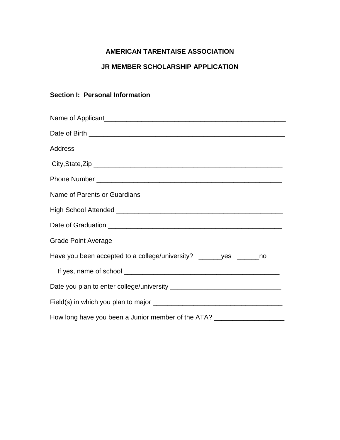# **AMERICAN TARENTAISE ASSOCIATION**

### **JR MEMBER SCHOLARSHIP APPLICATION**

# **Section I: Personal Information**

| Have you been accepted to a college/university? ______yes ______no         |
|----------------------------------------------------------------------------|
|                                                                            |
|                                                                            |
|                                                                            |
| How long have you been a Junior member of the ATA? _______________________ |